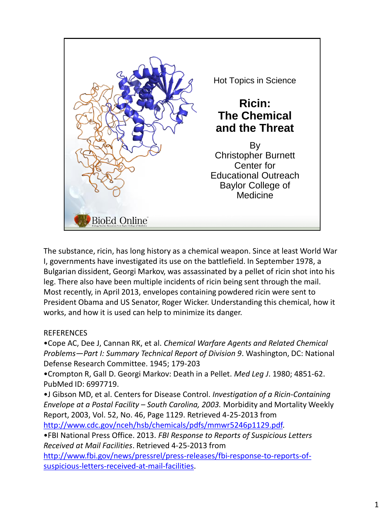

The substance, ricin, has long history as a chemical weapon. Since at least World War I, governments have investigated its use on the battlefield. In September 1978, a Bulgarian dissident, Georgi Markov, was assassinated by a pellet of ricin shot into his leg. There also have been multiple incidents of ricin being sent through the mail. Most recently, in April 2013, envelopes containing powdered ricin were sent to President Obama and US Senator, Roger Wicker. Understanding this chemical, how it works, and how it is used can help to minimize its danger.

## REFERENCES

•Cope AC, Dee J, Cannan RK, et al. *Chemical Warfare Agents and Related Chemical Problems—Part I: Summary Technical Report of Division 9*. Washington, DC: National Defense Research Committee. 1945; 179-203

•Crompton R, Gall D. Georgi Markov: Death in a Pellet. *Med Leg J*. 1980; 4851-62. PubMed ID: 6997719.

•J Gibson MD, et al. Centers for Disease Control. *Investigation of a Ricin-Containing Envelope at a Postal Facility – South Carolina, 2003.* Morbidity and Mortality Weekly Report, 2003, Vol. 52, No. 46, Page 1129. Retrieved 4-25-2013 from

http://www.cdc.gov/nceh/hsb/chemicals/pdfs/mmwr5246p1129.pdf.

•FBI National Press Office. 2013. *FBI Response to Reports of Suspicious Letters Received at Mail Facilities*. Retrieved 4-25-2013 from

http://www.fbi.gov/news/pressrel/press-releases/fbi-response-to-reports-ofsuspicious-letters-received-at-mail-facilities.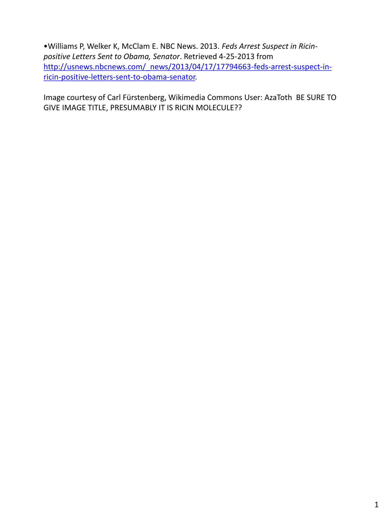•Williams P, Welker K, McClam E. NBC News. 2013. *Feds Arrest Suspect in Ricinpositive Letters Sent to Obama, Senator*. Retrieved 4-25-2013 from http://usnews.nbcnews.com/\_news/2013/04/17/17794663-feds-arrest-suspect-inricin-positive-letters-sent-to-obama-senator.

Image courtesy of Carl Fürstenberg, Wikimedia Commons User: AzaToth BE SURE TO GIVE IMAGE TITLE, PRESUMABLY IT IS RICIN MOLECULE??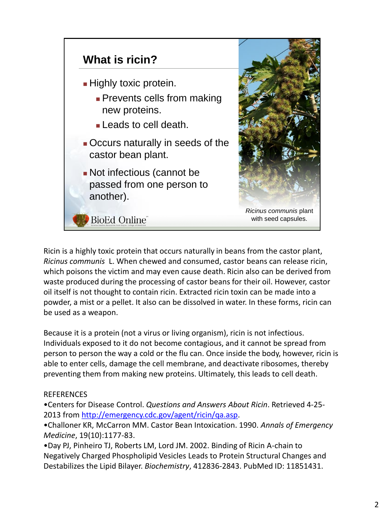

Ricin is a highly toxic protein that occurs naturally in beans from the castor plant, *Ricinus communis* L. When chewed and consumed, castor beans can release ricin, which poisons the victim and may even cause death. Ricin also can be derived from waste produced during the processing of castor beans for their oil. However, castor oil itself is not thought to contain ricin. Extracted ricin toxin can be made into a powder, a mist or a pellet. It also can be dissolved in water. In these forms, ricin can be used as a weapon.

Because it is a protein (not a virus or living organism), ricin is not infectious. Individuals exposed to it do not become contagious, and it cannot be spread from person to person the way a cold or the flu can. Once inside the body, however, ricin is able to enter cells, damage the cell membrane, and deactivate ribosomes, thereby preventing them from making new proteins. Ultimately, this leads to cell death.

## **REFERENCES**

•Centers for Disease Control. *Questions and Answers About Ricin*. Retrieved 4-25- 2013 from http://emergency.cdc.gov/agent/ricin/qa.asp.

•Challoner KR, McCarron MM. Castor Bean Intoxication. 1990. *Annals of Emergency Medicine*, 19(10):1177-83.

•Day PJ, Pinheiro TJ, Roberts LM, Lord JM. 2002. Binding of Ricin A-chain to Negatively Charged Phospholipid Vesicles Leads to Protein Structural Changes and Destabilizes the Lipid Bilayer. *Biochemistry*, 412836-2843. PubMed ID: 11851431.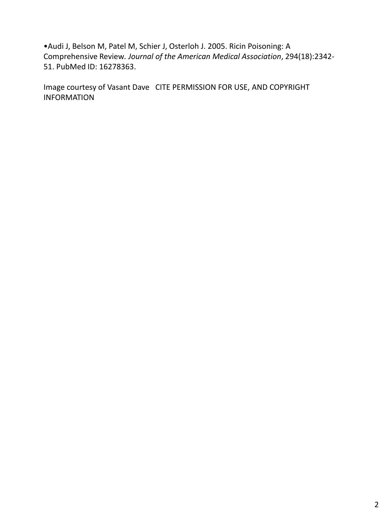•Audi J, Belson M, Patel M, Schier J, Osterloh J. 2005. Ricin Poisoning: A Comprehensive Review*. Journal of the American Medical Association*, 294(18):2342- 51. PubMed ID: 16278363.

Image courtesy of Vasant Dave CITE PERMISSION FOR USE, AND COPYRIGHT INFORMATION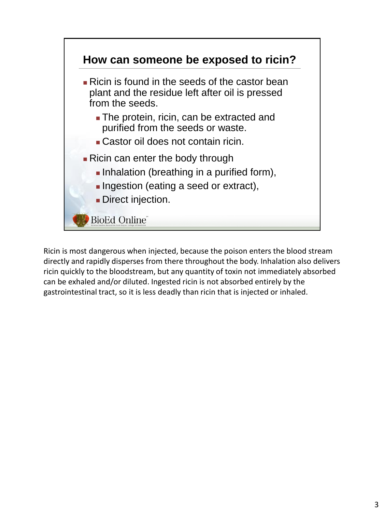

Ricin is most dangerous when injected, because the poison enters the blood stream directly and rapidly disperses from there throughout the body. Inhalation also delivers ricin quickly to the bloodstream, but any quantity of toxin not immediately absorbed can be exhaled and/or diluted. Ingested ricin is not absorbed entirely by the gastrointestinal tract, so it is less deadly than ricin that is injected or inhaled.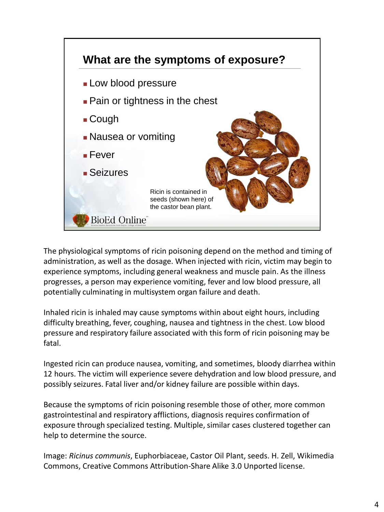

The physiological symptoms of ricin poisoning depend on the method and timing of administration, as well as the dosage. When injected with ricin, victim may begin to experience symptoms, including general weakness and muscle pain. As the illness progresses, a person may experience vomiting, fever and low blood pressure, all potentially culminating in multisystem organ failure and death.

Inhaled ricin is inhaled may cause symptoms within about eight hours, including difficulty breathing, fever, coughing, nausea and tightness in the chest. Low blood pressure and respiratory failure associated with this form of ricin poisoning may be fatal.

Ingested ricin can produce nausea, vomiting, and sometimes, bloody diarrhea within 12 hours. The victim will experience severe dehydration and low blood pressure, and possibly seizures. Fatal liver and/or kidney failure are possible within days.

Because the symptoms of ricin poisoning resemble those of other, more common gastrointestinal and respiratory afflictions, diagnosis requires confirmation of exposure through specialized testing. Multiple, similar cases clustered together can help to determine the source.

Image: *Ricinus communis*, Euphorbiaceae, Castor Oil Plant, seeds. H. Zell, Wikimedia Commons, Creative Commons Attribution-Share Alike 3.0 Unported license.